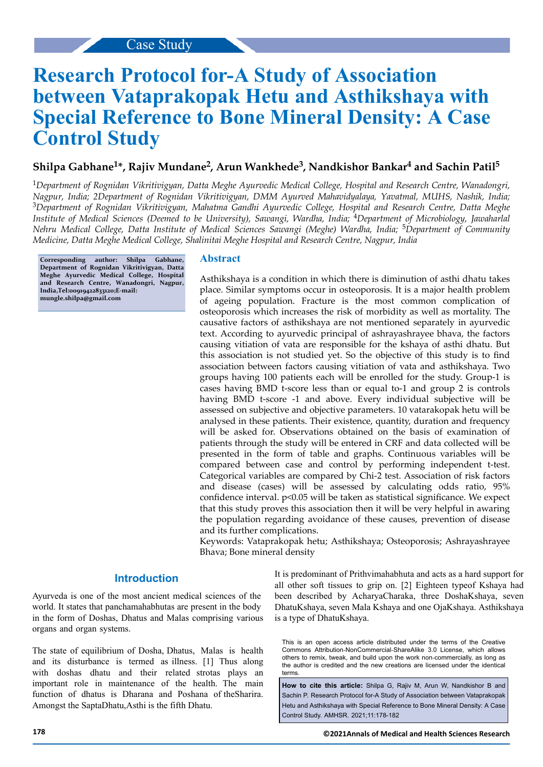# **Research Protocol for-A Study of Association between Vataprakopak Hetu and Asthikshaya with Special Reference to Bone Mineral Density: A Case Control Study**

# **Shilpa Gabhane<sup>1</sup> \*, Rajiv Mundane<sup>2</sup> , Arun Wankhede<sup>3</sup> , Nandkishor Bankar<sup>4</sup> and Sachin Patil<sup>5</sup>**

<sup>1</sup>*Department of Rognidan Vikritivigyan, Datta Meghe Ayurvedic Medical College, Hospital and Research Centre, Wanadongri, Nagpur, India; 2Department of Rognidan Vikritivigyan, DMM Ayurved Mahavidyalaya, Yavatmal, MUHS, Nashik, India;* <sup>3</sup>*Department of Rognidan Vikritivigyan, Mahatma Gandhi Ayurvedic College, Hospital and Research Centre, Datta Meghe Institute of Medical Sciences (Deemed to be University), Sawangi, Wardha, India;* 4*Department of Microbiology, Jawaharlal Nehru Medical College, Datta Institute of Medical Sciences Sawangi (Meghe) Wardha, India;* 5*Department of Community Medicine, Datta Meghe Medical College, Shalinitai Meghe Hospital and Research Centre, Nagpur, India*

**Corresponding author: Shilpa Gabhane, Department of Rognidan Vikritivigyan, Datta Meghe Ayurvedic Medical College, Hospital and Research Centre, Wanadongri, Nagpur, India,Tel:00919422833120;E-mail: mungle.shilpa@gmail.com**

# **Abstract**

Asthikshaya is a condition in which there is diminution of asthi dhatu takes place. Similar symptoms occur in osteoporosis. It is a major health problem of ageing population. Fracture is the most common complication of osteoporosis which increases the risk of morbidity as well as mortality. The causative factors of asthikshaya are not mentioned separately in ayurvedic text. According to ayurvedic principal of ashrayashrayee bhava, the factors causing vitiation of vata are responsible for the kshaya of asthi dhatu. But this association is not studied yet. So the objective of this study is to find association between factors causing vitiation of vata and asthikshaya. Two groups having 100 patients each will be enrolled for the study. Group-1 is cases having BMD t-score less than or equal to-1 and group 2 is controls having BMD t-score -1 and above. Every individual subjective will be assessed on subjective and objective parameters. 10 vatarakopak hetu will be analysed in these patients. Their existence, quantity, duration and frequency will be asked for. Observations obtained on the basis of examination of patients through the study will be entered in CRF and data collected will be presented in the form of table and graphs. Continuous variables will be compared between case and control by performing independent t-test. Categorical variables are compared by Chi-2 test. Association of risk factors and disease (cases) will be assessed by calculating odds ratio, 95% confidence interval.  $p<0.05$  will be taken as statistical significance. We expect that this study proves this association then it will be very helpful in awaring the population regarding avoidance of these causes, prevention of disease and its further complications.

Keywords: Vataprakopak hetu; Asthikshaya; Osteoporosis; Ashrayashrayee Bhava; Bone mineral density

# **Introduction**

Ayurveda is one of the most ancient medical sciences of the world. It states that panchamahabhutas are present in the body in the form of Doshas, Dhatus and Malas comprising various organs and organ systems.

The state of equilibrium of Dosha, Dhatus, Malas is health and its disturbance is termed as illness. [1] Thus along with doshas dhatu and their related strotas plays an important role in maintenance of the health. The main function of dhatus is Dharana and Poshana of theSharira. Amongst the SaptaDhatu,Asthi is the fifth Dhatu.

It is predominant of Prithvimahabhuta and acts as a hard support for all other soft tissues to grip on. [2] Eighteen typeof Kshaya had been described by AcharyaCharaka, three DoshaKshaya, seven DhatuKshaya, seven Mala Kshaya and one OjaKshaya. Asthikshaya is a type of DhatuKshaya.

This is an open access article distributed under the terms of the Creative Commons Attribution‑NonCommercial‑ShareAlike 3.0 License, which allows others to remix, tweak, and build upon the work non‑commercially, as long as the author is credited and the new creations are licensed under the identical terms.

**How to cite this article:** Shilpa G, Rajiv M, Arun W, Nandkishor B and Sachin P. Research Protocol for-A Study of Association between Vataprakopak Hetu and Asthikshaya with Special Reference to Bone Mineral Density: A Case Control Study. AMHSR. 2021;11:178-182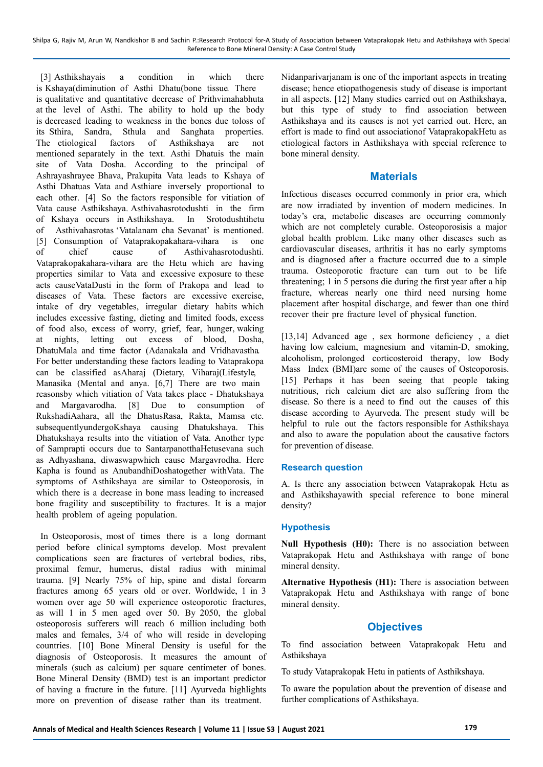Shilpa G, Rajiv M, Arun W, Nandkishor B and Sachin P.:Research Protocol for-A Study of Association between Vataprakopak Hetu and Asthikshaya with Special Reference to Bone Mineral Density: A Case Control Study

[3] Asthikshayais a condition in which there is Kshaya(diminution of Asthi Dhatu(bone tissue. There is qualitative and quantitative decrease of Prithvimahabhuta at the level of Asthi. The ability to hold up the body is decreased leading to weakness in the bones due toloss of its Sthira, Sandra, Sthula and Sanghata properties. The etiological factors of Asthikshaya are not mentioned separately in the text. Asthi Dhatuis the main site of Vata Dosha. According to the principal of Ashrayashrayee Bhava, Prakupita Vata leads to Kshaya of Asthi Dhatuas Vata and Asthiare inversely proportional to each other. [4] So the factors responsible for vitiation of Vata cause Asthikshaya. Asthivahasrotodushti in the firm of Kshaya occurs in Asthikshaya. In Srotodushtihetu of Asthivahasrotas 'Vatalanam cha Sevanat' is mentioned. [5] Consumption of Vataprakopakahara-vihara is one of chief cause of Asthivahasrotodushti. Vataprakopakahara-vihara are the Hetu which are having properties similar to Vata and excessive exposure to these acts causeVataDusti in the form of Prakopa and lead to diseases of Vata. These factors are excessive exercise, intake of dry vegetables, irregular dietary habits which includes excessive fasting, dieting and limited foods, excess of food also, excess of worry, grief, fear, hunger, waking at nights, letting out excess of blood, Dosha, DhatuMala and time factor (Adanakala and Vridhavastha. For better understanding these factors leading to Vataprakopa can be classified asAharaj (Dietary, Viharaj(Lifestyle, Manasika (Mental and anya. [6,7] There are two main reasonsby which vitiation of Vata takes place - Dhatukshaya and Margavarodha. [8] Due to consumption of RukshadiAahara, all the DhatusRasa, Rakta, Mamsa etc. subsequentlyundergoKshaya causing Dhatukshaya. This Dhatukshaya results into the vitiation of Vata. Another type of Samprapti occurs due to SantarpanotthaHetusevana such as Adhyashana, diwaswapwhich cause Margavrodha. Here Kapha is found as AnubandhiDoshatogether withVata. The symptoms of Asthikshaya are similar to Osteoporosis, in which there is a decrease in bone mass leading to increased bone fragility and susceptibility to fractures. It is a major health problem of ageing population.

In Osteoporosis, most of times there is a long dormant period before clinical symptoms develop. Most prevalent complications seen are fractures of vertebral bodies, ribs, proximal femur, humerus, distal radius with minimal trauma. [9] Nearly 75% of hip, spine and distal forearm fractures among 65 years old or over. Worldwide, 1 in 3 women over age 50 will experience osteoporotic fractures, as will 1 in 5 men aged over 50. By 2050, the global osteoporosis sufferers will reach 6 million including both males and females, 3/4 of who will reside in developing countries. [10] Bone Mineral Density is useful for the diagnosis of Osteoporosis. It measures the amount of minerals (such as calcium) per square centimeter of bones. Bone Mineral Density (BMD) test is an important predictor of having a fracture in the future. [11] Ayurveda highlights more on prevention of disease rather than its treatment.

Nidanparivarianam is one of the important aspects in treating disease; hence etiopathogenesis study of disease is important in all aspects. [12] Many studies carried out on Asthikshaya, but this type of study to find association between Asthikshaya and its causes is not yet carried out. Here, an effort is made to find out associationof VataprakopakHetu as etiological factors in Asthikshaya with special reference to bone mineral density.

## **Materials**

Infectious diseases occurred commonly in prior era, which are now irradiated by invention of modern medicines. In today's era, metabolic diseases are occurring commonly which are not completely curable. Osteoporosisis a major global health problem. Like many other diseases such as cardiovascular diseases, arthritis it has no early symptoms and is diagnosed after a fracture occurred due to a simple trauma. Osteoporotic fracture can turn out to be life threatening; 1 in 5 persons die during the first year after a hip fracture, whereas nearly one third need nursing home placement after hospital discharge, and fewer than one third recover their pre fracture level of physical function.

[13,14] Advanced age, sex hormone deficiency, a diet having low calcium, magnesium and vitamin-D, smoking, alcoholism, prolonged corticosteroid therapy, low Body Mass Index (BMI)are some of the causes of Osteoporosis. [15] Perhaps it has been seeing that people taking nutritious, rich calcium diet are also suffering from the disease. So there is a need to find out the causes of this disease according to Ayurveda. The present study will be helpful to rule out the factors responsible for Asthikshaya and also to aware the population about the causative factors for prevention of disease.

## **Research question**

A. Is there any association between Vataprakopak Hetu as and Asthikshayawith special reference to bone mineral density?

## **Hypothesis**

**Null Hypothesis (H0):** There is no association between Vataprakopak Hetu and Asthikshaya with range of bone mineral density.

**Alternative Hypothesis (H1):** There is association between Vataprakopak Hetu and Asthikshaya with range of bone mineral density.

## **Objectives**

To find association between Vataprakopak Hetu and Asthikshaya

To study Vataprakopak Hetu in patients of Asthikshaya.

To aware the population about the prevention of disease and further complications of Asthikshaya.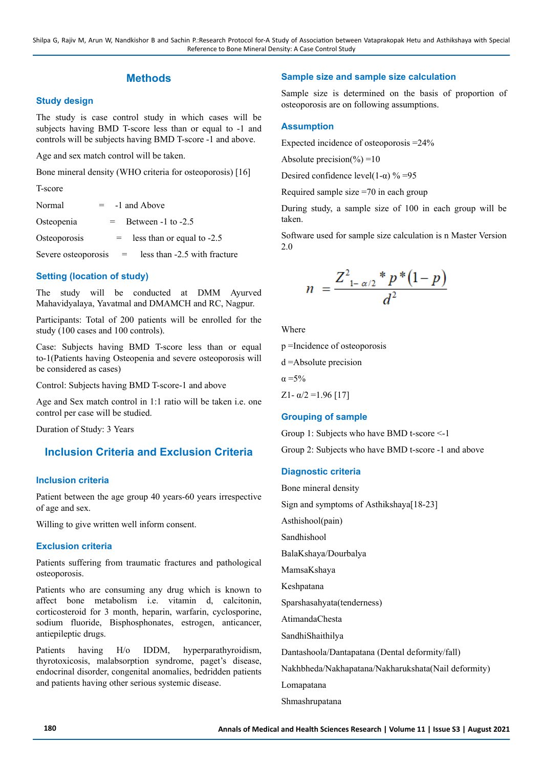# **Methods**

## **Study design**

The study is case control study in which cases will be subjects having BMD T-score less than or equal to -1 and controls will be subjects having BMD T-score -1 and above.

Age and sex match control will be taken.

Bone mineral density (WHO criteria for osteoporosis) [16]

T-score

| Normal                  |     | -1 and Above                 |
|-------------------------|-----|------------------------------|
| Osteopenia              | $=$ | Between $-1$ to $-2.5$       |
| Osteoporosis            | $=$ | less than or equal to -2.5   |
| Severe osteoporosis $=$ |     | less than -2.5 with fracture |

## **Setting (location of study)**

The study will be conducted at DMM Ayurved Mahavidyalaya, Yavatmal and DMAMCH and RC, Nagpur.

Participants: Total of 200 patients will be enrolled for the study (100 cases and 100 controls).

Case: Subjects having BMD T-score less than or equal to-1(Patients having Osteopenia and severe osteoporosis will be considered as cases)

Control: Subjects having BMD T-score-1 and above

Age and Sex match control in 1:1 ratio will be taken i.e. one control per case will be studied.

Duration of Study: 3 Years

# **Inclusion Criteria and Exclusion Criteria**

#### **Inclusion criteria**

Patient between the age group 40 years-60 years irrespective of age and sex.

Willing to give written well inform consent.

## **Exclusion criteria**

Patients suffering from traumatic fractures and pathological osteoporosis.

Patients who are consuming any drug which is known to affect bone metabolism i.e. vitamin d, calcitonin, corticosteroid for 3 month, heparin, warfarin, cyclosporine, sodium fluoride, Bisphosphonates, estrogen, anticancer, antiepileptic drugs.

Patients having H/o IDDM, hyperparathyroidism, thyrotoxicosis, malabsorption syndrome, paget's disease, endocrinal disorder, congenital anomalies, bedridden patients and patients having other serious systemic disease.

#### **Sample size and sample size calculation**

Sample size is determined on the basis of proportion of osteoporosis are on following assumptions.

#### **Assumption**

Expected incidence of osteoporosis =24%

Absolute precision(%) =  $10$ 

Desired confidence level(1- $\alpha$ ) % =95

Required sample size =70 in each group

During study, a sample size of 100 in each group will be taken.

Software used for sample size calculation is n Master Version 2.0

$$
n = \frac{Z_{1-\alpha/2}^2 * p * (1-p)}{d^2}
$$

Where

p =Incidence of osteoporosis

d =Absolute precision

 $\alpha = 5\%$ 

Z<sub>1</sub>- $α/2$ =1.96 [17]

#### **Grouping of sample**

Group 1: Subjects who have BMD t-score <-1

Group 2: Subjects who have BMD t-score -1 and above

#### **Diagnostic criteria**

Bone mineral density

Sign and symptoms of Asthikshaya[18-23]

Asthishool(pain)

Sandhishool

BalaKshaya/Dourbalya

MamsaKshaya

Keshpatana

Sparshasahyata(tenderness)

AtimandaChesta

SandhiShaithilya

Dantashoola/Dantapatana (Dental deformity/fall)

Nakhbheda/Nakhapatana/Nakharukshata(Nail deformity)

Lomapatana

Shmashrupatana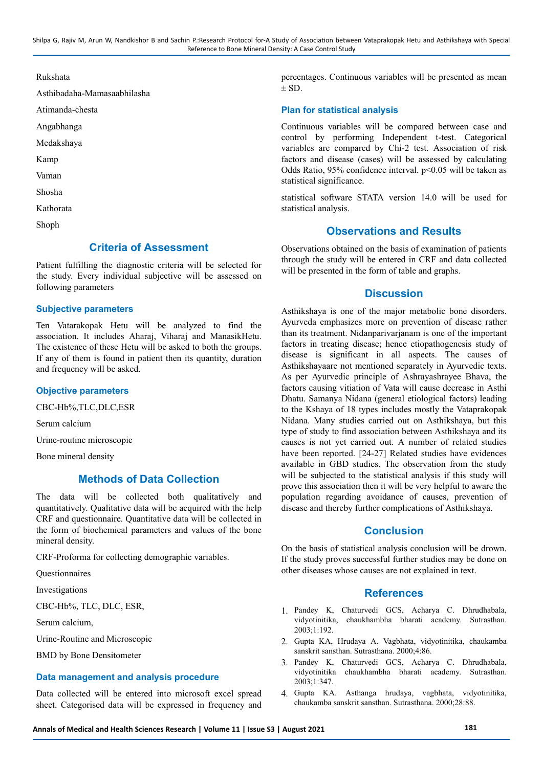Shilpa G, Rajiv M, Arun W, Nandkishor B and Sachin P.:Research Protocol for-A Study of Association between Vataprakopak Hetu and Asthikshaya with Special Reference to Bone Mineral Density: A Case Control Study

Rukshata

Asthibadaha-Mamasaabhilasha

Atimanda-chesta

Angabhanga

Medakshaya

Kamp

Vaman

Shosha

Kathorata

Shoph

# **Criteria of Assessment**

Patient fulfilling the diagnostic criteria will be selected for the study. Every individual subjective will be assessed on following parameters

#### **Subjective parameters**

Ten Vatarakopak Hetu will be analyzed to find the association. It includes Aharaj, Viharaj and ManasikHetu. The existence of these Hetu will be asked to both the groups. If any of them is found in patient then its quantity, duration and frequency will be asked.

#### **Objective parameters**

CBC-Hb%,TLC,DLC,ESR

Serum calcium

Urine-routine microscopic

Bone mineral density

# **Methods of Data Collection**

The data will be collected both qualitatively and quantitatively. Qualitative data will be acquired with the help CRF and questionnaire. Quantitative data will be collected in the form of biochemical parameters and values of the bone mineral density.

CRF-Proforma for collecting demographic variables.

**Ouestionnaires** 

Investigations

CBC-Hb%, TLC, DLC, ESR,

Serum calcium,

Urine-Routine and Microscopic

BMD by Bone Densitometer

#### **Data management and analysis procedure**

Data collected will be entered into microsoft excel spread sheet. Categorised data will be expressed in frequency and percentages. Continuous variables will be presented as mean  $\pm$  SD.

## **Plan for statistical analysis**

Continuous variables will be compared between case and control by performing Independent t-test. Categorical variables are compared by Chi-2 test. Association of risk factors and disease (cases) will be assessed by calculating Odds Ratio, 95% confidence interval. p<0.05 will be taken as statistical significance.

statistical software STATA version 14.0 will be used for statistical analysis.

# **Observations and Results**

Observations obtained on the basis of examination of patients through the study will be entered in CRF and data collected will be presented in the form of table and graphs.

# **Discussion**

Asthikshaya is one of the major metabolic bone disorders. Ayurveda emphasizes more on prevention of disease rather than its treatment. Nidanparivarjanam is one of the important factors in treating disease; hence etiopathogenesis study of disease is significant in all aspects. The causes of Asthikshayaare not mentioned separately in Ayurvedic texts. As per Ayurvedic principle of Ashrayashrayee Bhava, the factors causing vitiation of Vata will cause decrease in Asthi Dhatu. Samanya Nidana (general etiological factors) leading to the Kshaya of 18 types includes mostly the Vataprakopak Nidana. Many studies carried out on Asthikshaya, but this type of study to find association between Asthikshaya and its causes is not yet carried out. A number of related studies have been reported. [24-27] Related studies have evidences available in GBD studies. The observation from the study will be subjected to the statistical analysis if this study will prove this association then it will be very helpful to aware the population regarding avoidance of causes, prevention of disease and thereby further complications of Asthikshaya.

## **Conclusion**

On the basis of statistical analysis conclusion will be drown. If the study proves successful further studies may be done on other diseases whose causes are not explained in text.

#### **References**

- 1. Pandey K, Chaturvedi GCS, Acharya C. Dhrudhabala, vidyotinitika, chaukhambha bharati academy. Sutrasthan. 2003;1:192.
- 2. Gupta KA, Hrudaya A. Vagbhata, vidyotinitika, chaukamba sanskrit sansthan. Sutrasthana. 2000;4:86.
- 3. Pandey K, Chaturvedi GCS, Acharya C. Dhrudhabala, vidyotinitika chaukhambha bharati academy. Sutrasthan. 2003;1:347.
- 4. Gupta KA. Asthanga hrudaya, vagbhata, vidyotinitika, chaukamba sanskrit sansthan. Sutrasthana. 2000;28:88.